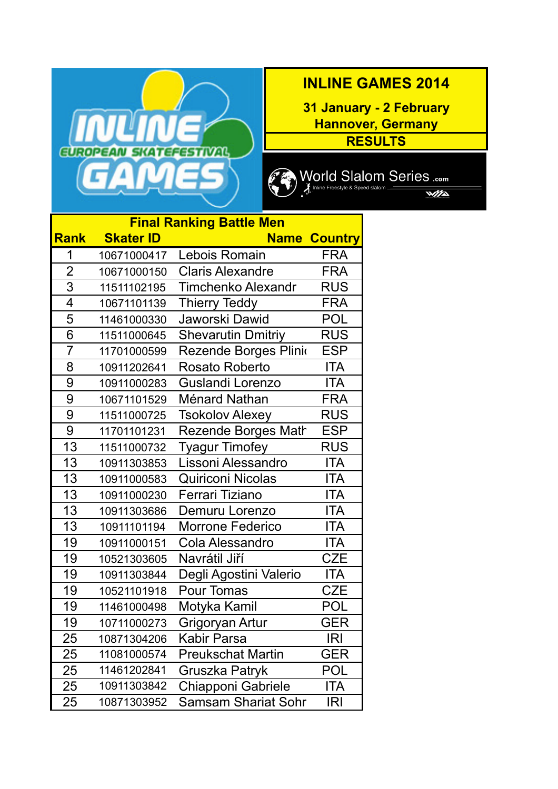

## **INLINE GAMES 2014**

**Hannover, Germany RESULTS 31 January - 2 February**



 $\frac{1}{\sqrt{2}}$ 

|                | <b>Final Ranking Battle Men</b> |                            |                |  |  |  |
|----------------|---------------------------------|----------------------------|----------------|--|--|--|
| <b>Rank</b>    | <b>Skater ID</b>                | <b>Name</b>                | <b>Country</b> |  |  |  |
| 1              | 10671000417                     | Lebois Romain              | FRA            |  |  |  |
| $\overline{2}$ | 10671000150                     | <b>Claris Alexandre</b>    | <b>FRA</b>     |  |  |  |
| 3              | 11511102195                     | <b>Timchenko Alexandr</b>  | <b>RUS</b>     |  |  |  |
| 4              | 10671101139                     | <b>Thierry Teddy</b>       | <b>FRA</b>     |  |  |  |
| 5              | 11461000330                     | Jaworski Dawid             | POL            |  |  |  |
| 6              | 11511000645                     | <b>Shevarutin Dmitriy</b>  | <b>RUS</b>     |  |  |  |
| $\overline{7}$ | 11701000599                     | Rezende Borges Plinio      | <b>ESP</b>     |  |  |  |
| 8              | 10911202641                     | <b>Rosato Roberto</b>      | <b>ITA</b>     |  |  |  |
| 9              | 10911000283                     | Guslandi Lorenzo           | <b>ITA</b>     |  |  |  |
| 9              | 10671101529                     | Ménard Nathan              | <b>FRA</b>     |  |  |  |
| 9              | 11511000725                     | <b>Tsokolov Alexey</b>     | <b>RUS</b>     |  |  |  |
| 9              | 11701101231                     | <b>Rezende Borges Math</b> | <b>ESP</b>     |  |  |  |
| 13             | 11511000732                     | <b>Tyagur Timofey</b>      | <b>RUS</b>     |  |  |  |
| 13             | 10911303853                     | Lissoni Alessandro         | <b>ITA</b>     |  |  |  |
| 13             | 10911000583                     | <b>Quiriconi Nicolas</b>   | <b>ITA</b>     |  |  |  |
| 13             | 10911000230                     | Ferrari Tiziano            | <b>ITA</b>     |  |  |  |
| 13             | 10911303686                     | Demuru Lorenzo             | <b>ITA</b>     |  |  |  |
| 13             | 10911101194                     | <b>Morrone Federico</b>    | ITA            |  |  |  |
| 19             | 10911000151                     | Cola Alessandro            | <b>ITA</b>     |  |  |  |
| 19             | 10521303605                     | Navrátil Jiří              | <b>CZE</b>     |  |  |  |
| 19             | 10911303844                     | Degli Agostini Valerio     | <b>ITA</b>     |  |  |  |
| 19             | 10521101918                     | Pour Tomas                 | <b>CZE</b>     |  |  |  |
| 19             | 11461000498                     | Motyka Kamil               | <b>POL</b>     |  |  |  |
| 19             | 10711000273                     | Grigoryan Artur            | GER            |  |  |  |
| 25             | 10871304206                     | Kabir Parsa                | IRI            |  |  |  |
| 25             | 11081000574                     | <b>Preukschat Martin</b>   | GER            |  |  |  |
| 25             | 11461202841                     | Gruszka Patryk             | <b>POL</b>     |  |  |  |
| 25             | 10911303842                     | Chiapponi Gabriele         | <b>ITA</b>     |  |  |  |
| 25             | 10871303952                     | <b>Samsam Shariat Sohr</b> | <b>IRI</b>     |  |  |  |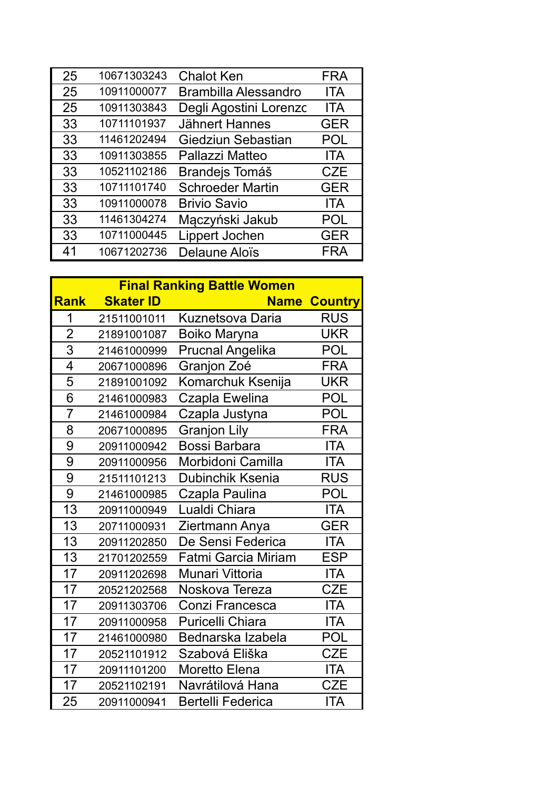| 25 | 10671303243 | <b>Chalot Ken</b>           | <b>FRA</b> |
|----|-------------|-----------------------------|------------|
| 25 | 10911000077 | <b>Brambilla Alessandro</b> | <b>ITA</b> |
| 25 | 10911303843 | Degli Agostini Lorenzc      | ITA        |
| 33 | 10711101937 | <b>Jähnert Hannes</b>       | <b>GER</b> |
| 33 | 11461202494 | Giedziun Sebastian          | <b>POL</b> |
| 33 | 10911303855 | Pallazzi Matteo             | <b>ITA</b> |
| 33 | 10521102186 | Brandejs Tomáš              | <b>CZE</b> |
| 33 | 10711101740 | <b>Schroeder Martin</b>     | <b>GER</b> |
| 33 | 10911000078 | <b>Brivio Savio</b>         | ITA        |
| 33 | 11461304274 | Mączyński Jakub             | POL        |
| 33 | 10711000445 | Lippert Jochen              | <b>GER</b> |
| 41 | 10671202736 | Delaune Aloïs               | FRA        |

|                | <b>Final Ranking Battle Women</b> |                            |                     |  |  |
|----------------|-----------------------------------|----------------------------|---------------------|--|--|
| <b>Rank</b>    | <b>Skater ID</b>                  |                            | <b>Name Country</b> |  |  |
| 1              | 21511001011                       | <b>Kuznetsova Daria</b>    | <b>RUS</b>          |  |  |
| $\overline{2}$ | 21891001087                       | <b>Boiko Maryna</b>        | <b>UKR</b>          |  |  |
| 3              | 21461000999                       | <b>Prucnal Angelika</b>    | <b>POL</b>          |  |  |
| 4              | 20671000896                       | Granjon Zoé                | <b>FRA</b>          |  |  |
| 5              | 21891001092                       | Komarchuk Ksenija          | <b>UKR</b>          |  |  |
| $\overline{6}$ | 21461000983                       | Czapla Ewelina             | <b>POL</b>          |  |  |
| $\overline{7}$ | 21461000984                       | Czapla Justyna             | <b>POL</b>          |  |  |
| 8              | 20671000895                       | <b>Granjon Lily</b>        | <b>FRA</b>          |  |  |
| 9              | 20911000942                       | <b>Bossi Barbara</b>       | <b>ITA</b>          |  |  |
| 9              | 20911000956                       | Morbidoni Camilla          | <b>ITA</b>          |  |  |
| 9              | 21511101213                       | Dubinchik Ksenia           | <b>RUS</b>          |  |  |
| 9              | 21461000985                       | Czapla Paulina             | <b>POL</b>          |  |  |
| 13             | 20911000949                       | Lualdi Chiara              | <b>ITA</b>          |  |  |
| 13             | 20711000931                       | Ziertmann Anya             | <b>GER</b>          |  |  |
| 13             | 20911202850                       | De Sensi Federica          | <b>ITA</b>          |  |  |
| 13             | 21701202559                       | <b>Fatmi Garcia Miriam</b> | <b>ESP</b>          |  |  |
| 17             | 20911202698                       | Munari Vittoria            | <b>ITA</b>          |  |  |
| 17             | 20521202568                       | Noskova Tereza             | <b>CZE</b>          |  |  |
| 17             | 20911303706                       | Conzi Francesca            | <b>ITA</b>          |  |  |
| 17             | 20911000958                       | <b>Puricelli Chiara</b>    | <b>ITA</b>          |  |  |
| 17             | 21461000980                       | Bednarska Izabela          | <b>POL</b>          |  |  |
| 17             | 20521101912                       | Szabová Eliška             | <b>CZE</b>          |  |  |
| 17             | 20911101200                       | <b>Moretto Elena</b>       | <b>ITA</b>          |  |  |
| 17             | 20521102191                       | Navrátilová Hana           | <b>CZE</b>          |  |  |
| 25             | 20911000941                       | <b>Bertelli Federica</b>   | <b>ITA</b>          |  |  |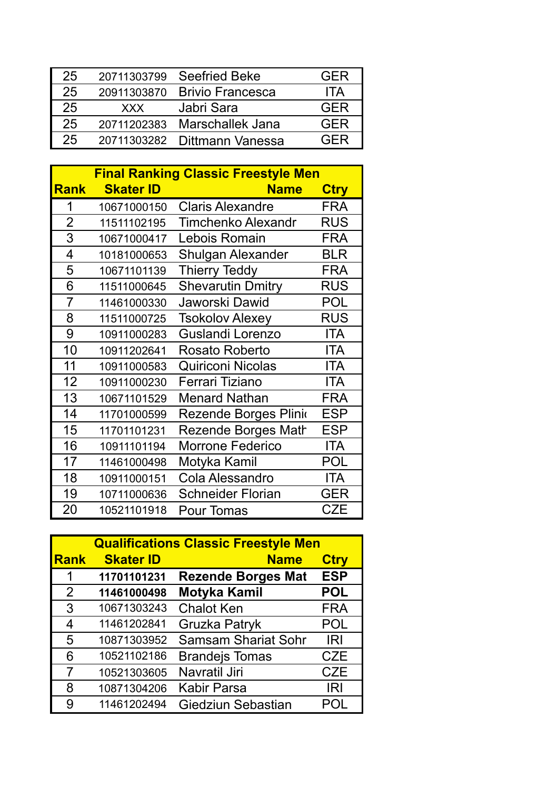| 25 | 20711303799 | <b>Seefried Beke</b>    | <b>GFR</b> |
|----|-------------|-------------------------|------------|
| 25 | 20911303870 | <b>Brivio Francesca</b> | <b>ITA</b> |
| 25 | <b>XXX</b>  | Jabri Sara              | GFR        |
| 25 | 20711202383 | Marschallek Jana        | GFR        |
| 25 | 20711303282 | Dittmann Vanessa        | GER        |
|    |             |                         |            |

|                | <b>Final Ranking Classic Freestyle Men</b> |                            |             |  |
|----------------|--------------------------------------------|----------------------------|-------------|--|
| <b>Rank</b>    | <b>Skater ID</b>                           | <b>Name</b>                | <b>Ctry</b> |  |
| 1              | 10671000150                                | <b>Claris Alexandre</b>    | <b>FRA</b>  |  |
| $\overline{2}$ | 11511102195                                | <b>Timchenko Alexandr</b>  | <b>RUS</b>  |  |
| 3              | 10671000417                                | Lebois Romain              | <b>FRA</b>  |  |
| 4              | 10181000653                                | <b>Shulgan Alexander</b>   | <b>BLR</b>  |  |
| 5              | 10671101139                                | <b>Thierry Teddy</b>       | <b>FRA</b>  |  |
| 6              | 11511000645                                | <b>Shevarutin Dmitry</b>   | <b>RUS</b>  |  |
| 7              | 11461000330                                | Jaworski Dawid             | POL         |  |
| 8              | 11511000725                                | <b>Tsokolov Alexey</b>     | <b>RUS</b>  |  |
| 9              | 10911000283                                | Guslandi Lorenzo           | <b>ITA</b>  |  |
| 10             | 10911202641                                | <b>Rosato Roberto</b>      | <b>ITA</b>  |  |
| 11             | 10911000583                                | <b>Quiriconi Nicolas</b>   | <b>ITA</b>  |  |
| 12             | 10911000230                                | Ferrari Tiziano            | <b>ITA</b>  |  |
| 13             | 10671101529                                | <b>Menard Nathan</b>       | <b>FRA</b>  |  |
| 14             | 11701000599                                | Rezende Borges Plinio      | <b>ESP</b>  |  |
| 15             | 11701101231                                | <b>Rezende Borges Math</b> | <b>ESP</b>  |  |
| 16             | 10911101194                                | <b>Morrone Federico</b>    | ITA         |  |
| 17             | 11461000498                                | Motyka Kamil               | POL         |  |
| 18             | 10911000151                                | <b>Cola Alessandro</b>     | ITA         |  |
| 19             | 10711000636                                | <b>Schneider Florian</b>   | <b>GER</b>  |  |
| 20             | 10521101918                                | Pour Tomas                 | <b>CZE</b>  |  |

| <b>Qualifications Classic Freestyle Men</b> |                  |                            |             |  |
|---------------------------------------------|------------------|----------------------------|-------------|--|
| <b>Rank</b>                                 | <b>Skater ID</b> | <b>Name</b>                | <b>Ctry</b> |  |
| $\mathbf 1$                                 | 11701101231      | <b>Rezende Borges Mat</b>  | <b>ESP</b>  |  |
| 2                                           | 11461000498      | <b>Motyka Kamil</b>        | <b>POL</b>  |  |
| 3                                           | 10671303243      | <b>Chalot Ken</b>          | <b>FRA</b>  |  |
| 4                                           | 11461202841      | Gruzka Patryk              | <b>POL</b>  |  |
| 5                                           | 10871303952      | <b>Samsam Shariat Sohr</b> | <b>IRI</b>  |  |
| 6                                           | 10521102186      | <b>Brandejs Tomas</b>      | <b>CZE</b>  |  |
| 7                                           | 10521303605      | Navratil Jiri              | <b>CZE</b>  |  |
| 8                                           | 10871304206      | <b>Kabir Parsa</b>         | <b>IRI</b>  |  |
| 9                                           | 11461202494      | Giedziun Sebastian         | POL         |  |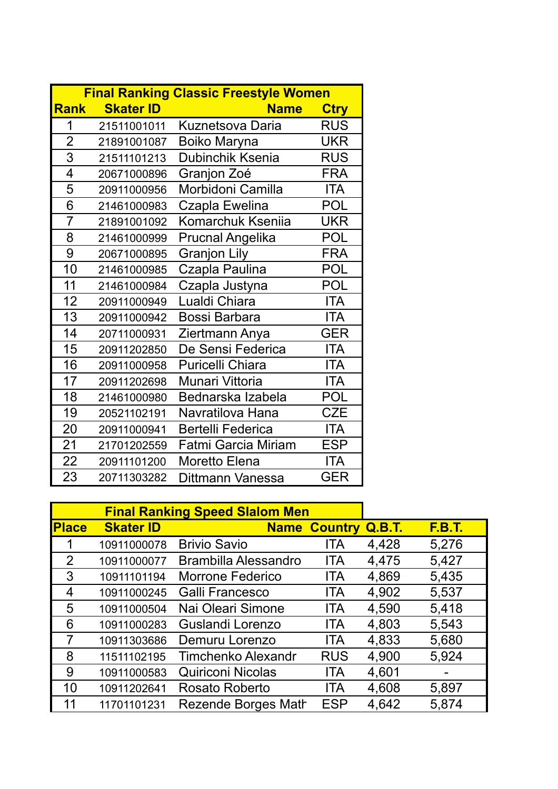|                |                  | <b>Final Ranking Classic Freestyle Women</b> |             |
|----------------|------------------|----------------------------------------------|-------------|
| <b>Rank</b>    | <b>Skater ID</b> | <b>Name</b>                                  | <b>Ctry</b> |
| 1              | 21511001011      | Kuznetsova Daria                             | <b>RUS</b>  |
| $\overline{2}$ | 21891001087      | Boiko Maryna                                 | <b>UKR</b>  |
| 3              | 21511101213      | Dubinchik Ksenia                             | <b>RUS</b>  |
| 4              | 20671000896      | Granjon Zoé                                  | <b>FRA</b>  |
| 5              | 20911000956      | Morbidoni Camilla                            | <b>ITA</b>  |
| 6              | 21461000983      | Czapla Ewelina                               | <b>POL</b>  |
| $\overline{7}$ | 21891001092      | Komarchuk Kseniia                            | <b>UKR</b>  |
| 8              | 21461000999      | <b>Prucnal Angelika</b>                      | <b>POL</b>  |
| 9              | 20671000895      | <b>Granjon Lily</b>                          | <b>FRA</b>  |
| 10             | 21461000985      | Czapla Paulina                               | POL         |
| 11             | 21461000984      | Czapla Justyna                               | <b>POL</b>  |
| 12             | 20911000949      | Lualdi Chiara                                | <b>ITA</b>  |
| 13             | 20911000942      | <b>Bossi Barbara</b>                         | <b>ITA</b>  |
| 14             | 20711000931      | Ziertmann Anya                               | <b>GER</b>  |
| 15             | 20911202850      | De Sensi Federica                            | <b>ITA</b>  |
| 16             | 20911000958      | <b>Puricelli Chiara</b>                      | <b>ITA</b>  |
| 17             | 20911202698      | Munari Vittoria                              | ITA         |
| 18             | 21461000980      | Bednarska Izabela                            | POL         |
| 19             | 20521102191      | Navratilova Hana                             | <b>CZE</b>  |
| 20             | 20911000941      | <b>Bertelli Federica</b>                     | <b>ITA</b>  |
| 21             | 21701202559      | <b>Fatmi Garcia Miriam</b>                   | <b>ESP</b>  |
| 22             | 20911101200      | Moretto Elena                                | <b>ITA</b>  |
| 23             | 20711303282      | Dittmann Vanessa                             | <b>GER</b>  |

| <b>Final Ranking Speed Slalom Men</b> |                  |                             |                     |               |               |
|---------------------------------------|------------------|-----------------------------|---------------------|---------------|---------------|
| <b>Place</b>                          | <b>Skater ID</b> |                             | <b>Name Country</b> | <b>Q.B.T.</b> | <b>F.B.T.</b> |
|                                       | 10911000078      | <b>Brivio Savio</b>         | ITA                 | 4,428         | 5,276         |
| $\overline{2}$                        | 10911000077      | <b>Brambilla Alessandro</b> | <b>ITA</b>          | 4,475         | 5,427         |
| 3                                     | 10911101194      | <b>Morrone Federico</b>     | <b>ITA</b>          | 4,869         | 5,435         |
| 4                                     | 10911000245      | Galli Francesco             | ITA                 | 4,902         | 5,537         |
| 5                                     | 10911000504      | Nai Oleari Simone           | <b>ITA</b>          | 4,590         | 5,418         |
| 6                                     | 10911000283      | Guslandi Lorenzo            | <b>ITA</b>          | 4,803         | 5,543         |
| 7                                     | 10911303686      | Demuru Lorenzo              | <b>ITA</b>          | 4,833         | 5,680         |
| 8                                     | 11511102195      | Timchenko Alexandr          | <b>RUS</b>          | 4,900         | 5,924         |
| 9                                     | 10911000583      | <b>Quiriconi Nicolas</b>    | <b>ITA</b>          | 4,601         |               |
| 10                                    | 10911202641      | Rosato Roberto              | <b>ITA</b>          | 4,608         | 5,897         |
| 11                                    | 11701101231      | Rezende Borges Math         | <b>ESP</b>          | 4,642         | 5,874         |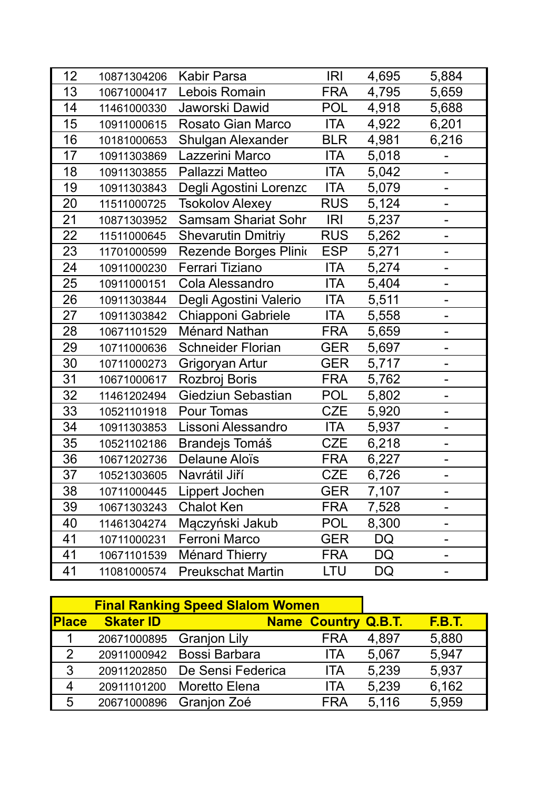| 12 | 10871304206 | <b>Kabir Parsa</b>         | <b>IRI</b> | 4,695 | 5,884                    |
|----|-------------|----------------------------|------------|-------|--------------------------|
| 13 | 10671000417 | Lebois Romain              | <b>FRA</b> | 4,795 | 5,659                    |
| 14 | 11461000330 | Jaworski Dawid             | <b>POL</b> | 4,918 | 5,688                    |
| 15 | 10911000615 | Rosato Gian Marco          | <b>ITA</b> | 4,922 | 6,201                    |
| 16 | 10181000653 | <b>Shulgan Alexander</b>   | <b>BLR</b> | 4,981 | 6,216                    |
| 17 | 10911303869 | Lazzerini Marco            | <b>ITA</b> | 5,018 |                          |
| 18 | 10911303855 | Pallazzi Matteo            | ITA        | 5,042 |                          |
| 19 | 10911303843 | Degli Agostini Lorenzc     | <b>ITA</b> | 5,079 |                          |
| 20 | 11511000725 | <b>Tsokolov Alexey</b>     | <b>RUS</b> | 5,124 | $\overline{a}$           |
| 21 | 10871303952 | <b>Samsam Shariat Sohr</b> | <b>IRI</b> | 5,237 | $\overline{\phantom{0}}$ |
| 22 | 11511000645 | <b>Shevarutin Dmitriy</b>  | <b>RUS</b> | 5,262 |                          |
| 23 | 11701000599 | Rezende Borges Plinio      | <b>ESP</b> | 5,271 |                          |
| 24 | 10911000230 | Ferrari Tiziano            | <b>ITA</b> | 5,274 |                          |
| 25 | 10911000151 | Cola Alessandro            | <b>ITA</b> | 5,404 | $\overline{\phantom{0}}$ |
| 26 | 10911303844 | Degli Agostini Valerio     | <b>ITA</b> | 5,511 |                          |
| 27 | 10911303842 | Chiapponi Gabriele         | ITA        | 5,558 | $\blacksquare$           |
| 28 | 10671101529 | Ménard Nathan              | <b>FRA</b> | 5,659 | -                        |
| 29 | 10711000636 | <b>Schneider Florian</b>   | <b>GER</b> | 5,697 |                          |
| 30 | 10711000273 | Grigoryan Artur            | <b>GER</b> | 5,717 |                          |
| 31 | 10671000617 | Rozbroj Boris              | <b>FRA</b> | 5,762 |                          |
| 32 | 11461202494 | Giedziun Sebastian         | <b>POL</b> | 5,802 | -                        |
| 33 | 10521101918 | Pour Tomas                 | <b>CZE</b> | 5,920 |                          |
| 34 | 10911303853 | Lissoni Alessandro         | <b>ITA</b> | 5,937 | $\blacksquare$           |
| 35 | 10521102186 | <b>Brandejs Tomáš</b>      | <b>CZE</b> | 6,218 |                          |
| 36 | 10671202736 | Delaune Aloïs              | <b>FRA</b> | 6,227 |                          |
| 37 | 10521303605 | Navrátil Jiří              | <b>CZE</b> | 6,726 |                          |
| 38 | 10711000445 | Lippert Jochen             | GER        | 7,107 |                          |
| 39 | 10671303243 | <b>Chalot Ken</b>          | <b>FRA</b> | 7,528 |                          |
| 40 | 11461304274 | Mączyński Jakub            | <b>POL</b> | 8,300 |                          |
| 41 | 10711000231 | Ferroni Marco              | <b>GER</b> | DQ    |                          |
| 41 | 10671101539 | <b>Ménard Thierry</b>      | <b>FRA</b> | DQ    |                          |
| 41 | 11081000574 | <b>Preukschat Martin</b>   | LTU        | DQ    |                          |

| <b>Final Ranking Speed Slalom Women</b> |                  |                               |                            |       |               |
|-----------------------------------------|------------------|-------------------------------|----------------------------|-------|---------------|
| <b>Place</b>                            | <b>Skater ID</b> |                               | <b>Name Country Q.B.T.</b> |       | <b>F.B.T.</b> |
|                                         |                  | 20671000895 Granjon Lily      | <b>FRA</b>                 | 4,897 | 5,880         |
| 2                                       |                  | 20911000942 Bossi Barbara     | <b>ITA</b>                 | 5,067 | 5,947         |
| $\mathbf{3}$                            |                  | 20911202850 De Sensi Federica | <b>ITA</b>                 | 5,239 | 5,937         |
| 4                                       |                  | 20911101200 Moretto Elena     | ITA                        | 5,239 | 6,162         |
| 5                                       |                  | 20671000896 Granjon Zoé       | <b>FRA</b>                 | 5,116 | 5,959         |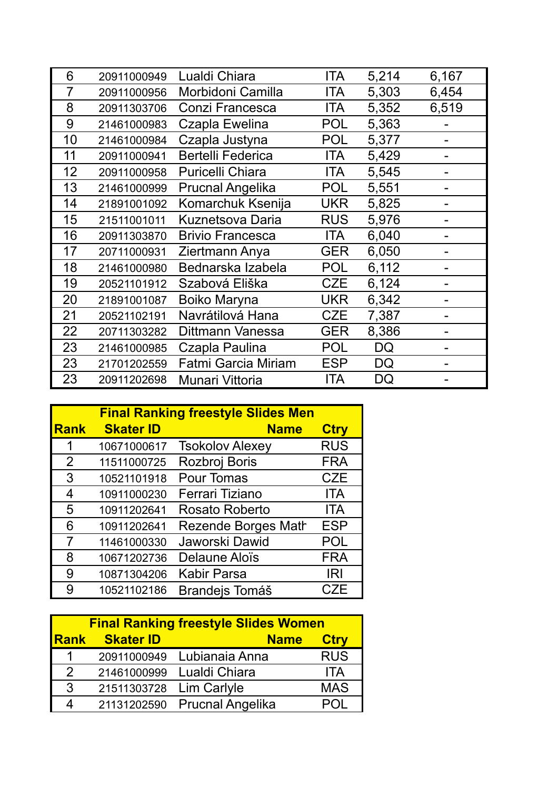| 6  | 20911000949 | Lualdi Chiara              | ITA        | 5,214     | 6,167 |
|----|-------------|----------------------------|------------|-----------|-------|
| 7  | 20911000956 | Morbidoni Camilla          | <b>ITA</b> | 5,303     | 6,454 |
| 8  | 20911303706 | Conzi Francesca            | <b>ITA</b> | 5,352     | 6,519 |
| 9  | 21461000983 | Czapla Ewelina             | <b>POL</b> | 5,363     |       |
| 10 | 21461000984 | Czapla Justyna             | <b>POL</b> | 5,377     |       |
| 11 | 20911000941 | <b>Bertelli Federica</b>   | ITA        | 5,429     |       |
| 12 | 20911000958 | <b>Puricelli Chiara</b>    | <b>ITA</b> | 5,545     |       |
| 13 | 21461000999 | <b>Prucnal Angelika</b>    | <b>POL</b> | 5,551     |       |
| 14 | 21891001092 | Komarchuk Ksenija          | <b>UKR</b> | 5,825     |       |
| 15 | 21511001011 | <b>Kuznetsova Daria</b>    | <b>RUS</b> | 5,976     |       |
| 16 | 20911303870 | <b>Brivio Francesca</b>    | <b>ITA</b> | 6,040     |       |
| 17 | 20711000931 | Ziertmann Anya             | <b>GER</b> | 6,050     |       |
| 18 | 21461000980 | Bednarska Izabela          | <b>POL</b> | 6,112     |       |
| 19 | 20521101912 | Szabová Eliška             | <b>CZE</b> | 6,124     |       |
| 20 | 21891001087 | <b>Boiko Maryna</b>        | <b>UKR</b> | 6,342     |       |
| 21 | 20521102191 | Navrátilová Hana           | <b>CZE</b> | 7,387     |       |
| 22 | 20711303282 | Dittmann Vanessa           | <b>GER</b> | 8,386     |       |
| 23 | 21461000985 | Czapla Paulina             | <b>POL</b> | DQ        |       |
| 23 | 21701202559 | <b>Fatmi Garcia Miriam</b> | <b>ESP</b> | <b>DQ</b> |       |
| 23 | 20911202698 | Munari Vittoria            | <b>ITA</b> | DQ        |       |

|             | <b>Final Ranking freestyle Slides Men</b> |                            |             |  |
|-------------|-------------------------------------------|----------------------------|-------------|--|
| <b>Rank</b> | <b>Skater ID</b>                          | <b>Name</b>                | <b>Ctry</b> |  |
| 1           | 10671000617                               | <b>Tsokolov Alexey</b>     | <b>RUS</b>  |  |
| 2           | 11511000725                               | Rozbroj Boris              | <b>FRA</b>  |  |
| 3           | 10521101918                               | <b>Pour Tomas</b>          | <b>CZE</b>  |  |
| 4           | 10911000230                               | Ferrari Tiziano            | <b>ITA</b>  |  |
| 5           | 10911202641                               | Rosato Roberto             | <b>ITA</b>  |  |
| 6           | 10911202641                               | <b>Rezende Borges Math</b> | <b>ESP</b>  |  |
| 7           | 11461000330                               | Jaworski Dawid             | <b>POL</b>  |  |
| 8           | 10671202736                               | Delaune Aloïs              | <b>FRA</b>  |  |
| 9           | 10871304206                               | <b>Kabir Parsa</b>         | IRI         |  |
| 9           | 10521102186                               | <b>Brandejs Tomáš</b>      | CZE         |  |

| <b>Final Ranking freestyle Slides Women</b> |                  |                              |             |  |  |  |
|---------------------------------------------|------------------|------------------------------|-------------|--|--|--|
| <b>Rank</b>                                 | <b>Skater ID</b> | <b>Name</b>                  | <b>Ctry</b> |  |  |  |
| 1                                           |                  | 20911000949 Lubianaia Anna   | <b>RUS</b>  |  |  |  |
| $\overline{2}$                              | 21461000999      | Lualdi Chiara                | <b>ITA</b>  |  |  |  |
| 3                                           | 21511303728      | Lim Carlyle                  | <b>MAS</b>  |  |  |  |
|                                             |                  | 21131202590 Prucnal Angelika | P()         |  |  |  |